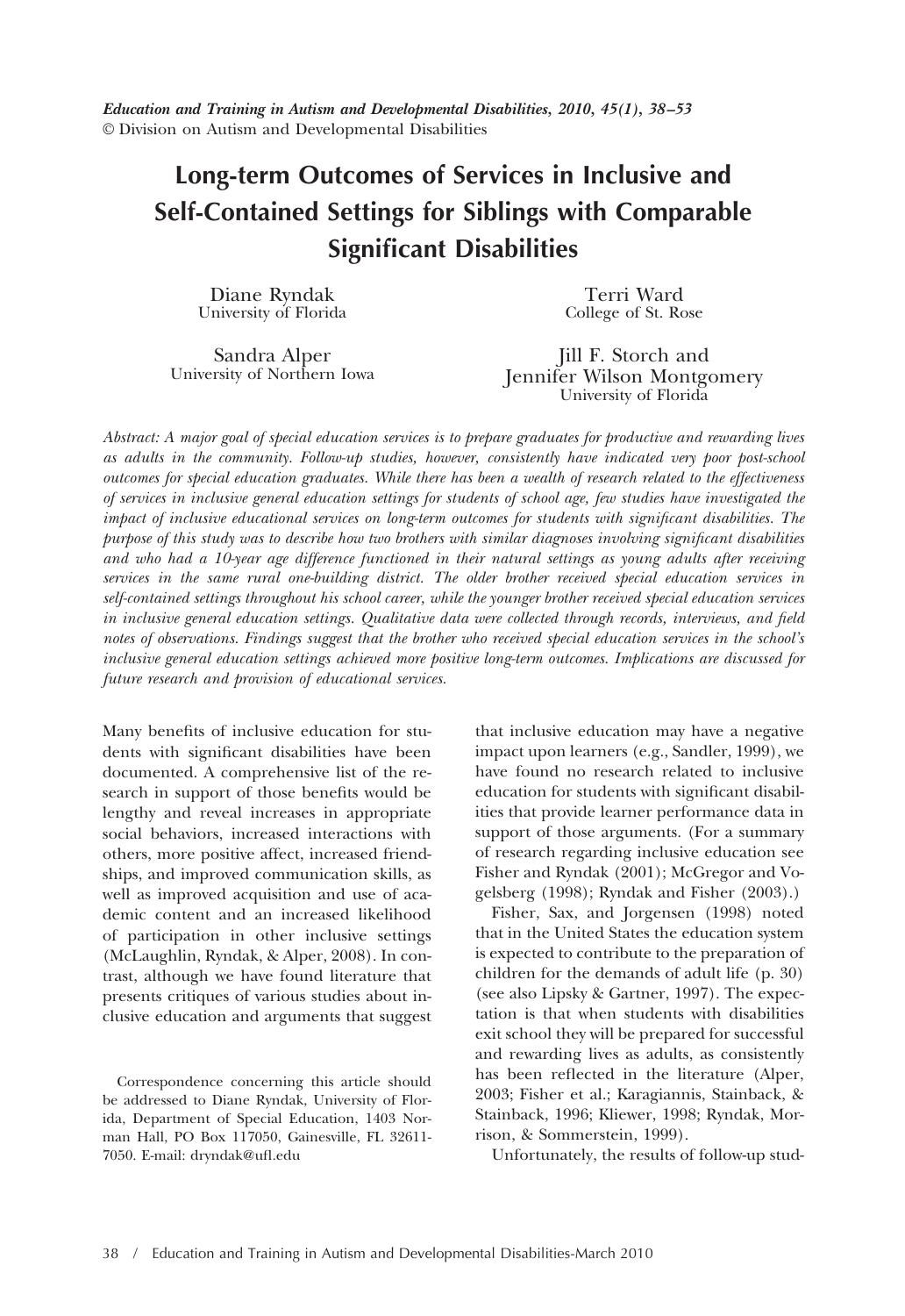# **Long-term Outcomes of Services in Inclusive and Self-Contained Settings for Siblings with Comparable Significant Disabilities**

Diane Ryndak University of Florida

Terri Ward College of St. Rose

Sandra Alper University of Northern Iowa

Jill F. Storch and Jennifer Wilson Montgomery University of Florida

*Abstract: A major goal of special education services is to prepare graduates for productive and rewarding lives as adults in the community. Follow-up studies, however, consistently have indicated very poor post-school outcomes for special education graduates. While there has been a wealth of research related to the effectiveness of services in inclusive general education settings for students of school age, few studies have investigated the impact of inclusive educational services on long-term outcomes for students with significant disabilities. The purpose of this study was to describe how two brothers with similar diagnoses involving significant disabilities and who had a 10-year age difference functioned in their natural settings as young adults after receiving services in the same rural one-building district. The older brother received special education services in self-contained settings throughout his school career, while the younger brother received special education services in inclusive general education settings. Qualitative data were collected through records, interviews, and field notes of observations. Findings suggest that the brother who received special education services in the school's inclusive general education settings achieved more positive long-term outcomes. Implications are discussed for future research and provision of educational services.*

Many benefits of inclusive education for students with significant disabilities have been documented. A comprehensive list of the research in support of those benefits would be lengthy and reveal increases in appropriate social behaviors, increased interactions with others, more positive affect, increased friendships, and improved communication skills, as well as improved acquisition and use of academic content and an increased likelihood of participation in other inclusive settings (McLaughlin, Ryndak, & Alper, 2008). In contrast, although we have found literature that presents critiques of various studies about inclusive education and arguments that suggest

Correspondence concerning this article should be addressed to Diane Ryndak, University of Florida, Department of Special Education, 1403 Norman Hall, PO Box 117050, Gainesville, FL 32611- 7050. E-mail: dryndak@ufl.edu

that inclusive education may have a negative impact upon learners (e.g., Sandler, 1999), we have found no research related to inclusive education for students with significant disabilities that provide learner performance data in support of those arguments. (For a summary of research regarding inclusive education see Fisher and Ryndak (2001); McGregor and Vogelsberg (1998); Ryndak and Fisher (2003).)

Fisher, Sax, and Jorgensen (1998) noted that in the United States the education system is expected to contribute to the preparation of children for the demands of adult life (p. 30) (see also Lipsky & Gartner, 1997). The expectation is that when students with disabilities exit school they will be prepared for successful and rewarding lives as adults, as consistently has been reflected in the literature (Alper, 2003; Fisher et al.; Karagiannis, Stainback, & Stainback, 1996; Kliewer, 1998; Ryndak, Morrison, & Sommerstein, 1999).

Unfortunately, the results of follow-up stud-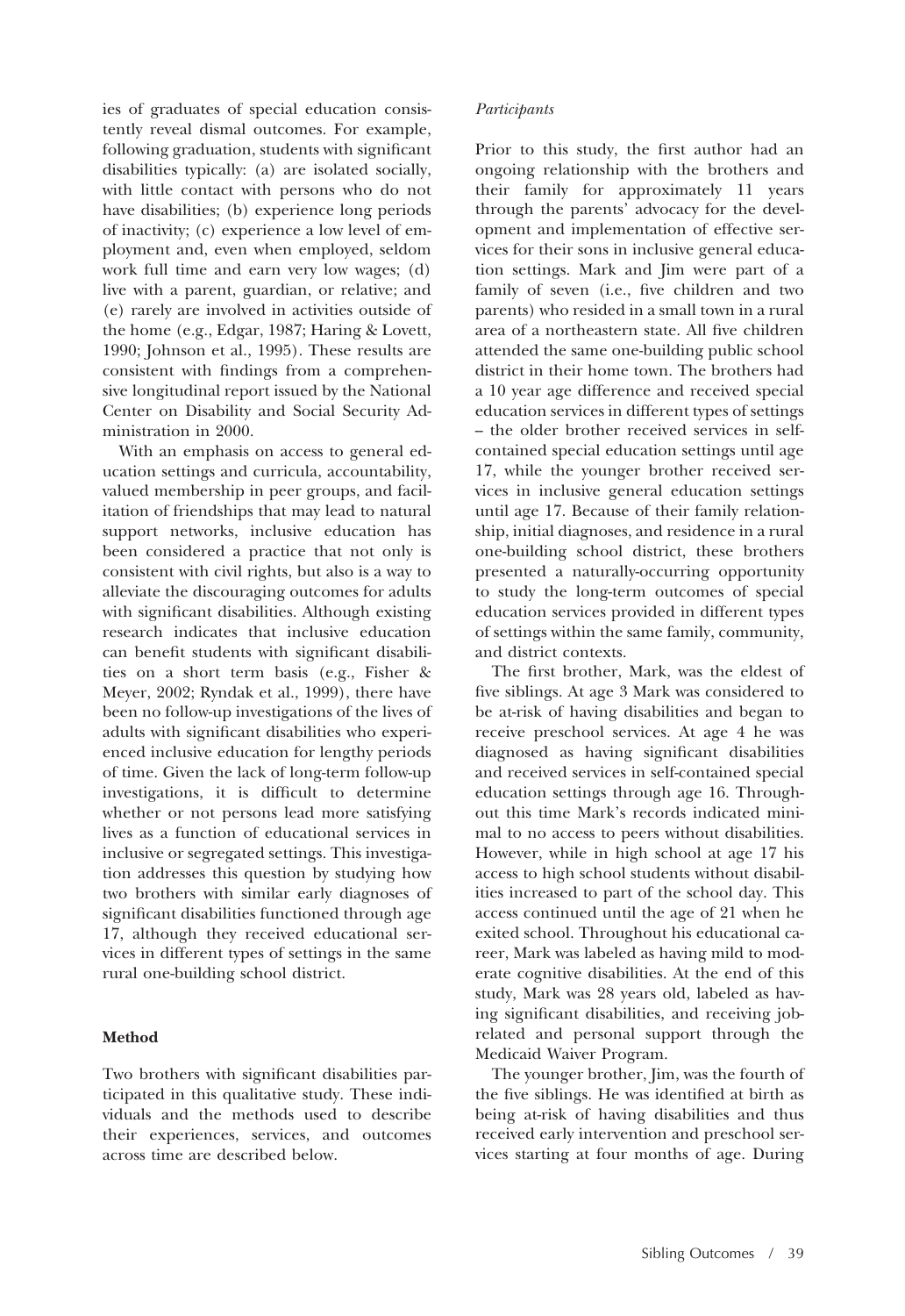ies of graduates of special education consistently reveal dismal outcomes. For example, following graduation, students with significant disabilities typically: (a) are isolated socially, with little contact with persons who do not have disabilities; (b) experience long periods of inactivity; (c) experience a low level of employment and, even when employed, seldom work full time and earn very low wages; (d) live with a parent, guardian, or relative; and (e) rarely are involved in activities outside of the home (e.g., Edgar, 1987; Haring & Lovett, 1990; Johnson et al., 1995). These results are consistent with findings from a comprehensive longitudinal report issued by the National Center on Disability and Social Security Administration in 2000.

With an emphasis on access to general education settings and curricula, accountability, valued membership in peer groups, and facilitation of friendships that may lead to natural support networks, inclusive education has been considered a practice that not only is consistent with civil rights, but also is a way to alleviate the discouraging outcomes for adults with significant disabilities. Although existing research indicates that inclusive education can benefit students with significant disabilities on a short term basis (e.g., Fisher & Meyer, 2002; Ryndak et al., 1999), there have been no follow-up investigations of the lives of adults with significant disabilities who experienced inclusive education for lengthy periods of time. Given the lack of long-term follow-up investigations, it is difficult to determine whether or not persons lead more satisfying lives as a function of educational services in inclusive or segregated settings. This investigation addresses this question by studying how two brothers with similar early diagnoses of significant disabilities functioned through age 17, although they received educational services in different types of settings in the same rural one-building school district.

# **Method**

Two brothers with significant disabilities participated in this qualitative study. These individuals and the methods used to describe their experiences, services, and outcomes across time are described below.

#### *Participants*

Prior to this study, the first author had an ongoing relationship with the brothers and their family for approximately 11 years through the parents' advocacy for the development and implementation of effective services for their sons in inclusive general education settings. Mark and Jim were part of a family of seven (i.e., five children and two parents) who resided in a small town in a rural area of a northeastern state. All five children attended the same one-building public school district in their home town. The brothers had a 10 year age difference and received special education services in different types of settings - the older brother received services in selfcontained special education settings until age 17, while the younger brother received services in inclusive general education settings until age 17. Because of their family relationship, initial diagnoses, and residence in a rural one-building school district, these brothers presented a naturally-occurring opportunity to study the long-term outcomes of special education services provided in different types of settings within the same family, community, and district contexts.

The first brother, Mark, was the eldest of five siblings. At age 3 Mark was considered to be at-risk of having disabilities and began to receive preschool services. At age 4 he was diagnosed as having significant disabilities and received services in self-contained special education settings through age 16. Throughout this time Mark's records indicated minimal to no access to peers without disabilities. However, while in high school at age 17 his access to high school students without disabilities increased to part of the school day. This access continued until the age of 21 when he exited school. Throughout his educational career, Mark was labeled as having mild to moderate cognitive disabilities. At the end of this study, Mark was 28 years old, labeled as having significant disabilities, and receiving jobrelated and personal support through the Medicaid Waiver Program.

The younger brother, Jim, was the fourth of the five siblings. He was identified at birth as being at-risk of having disabilities and thus received early intervention and preschool services starting at four months of age. During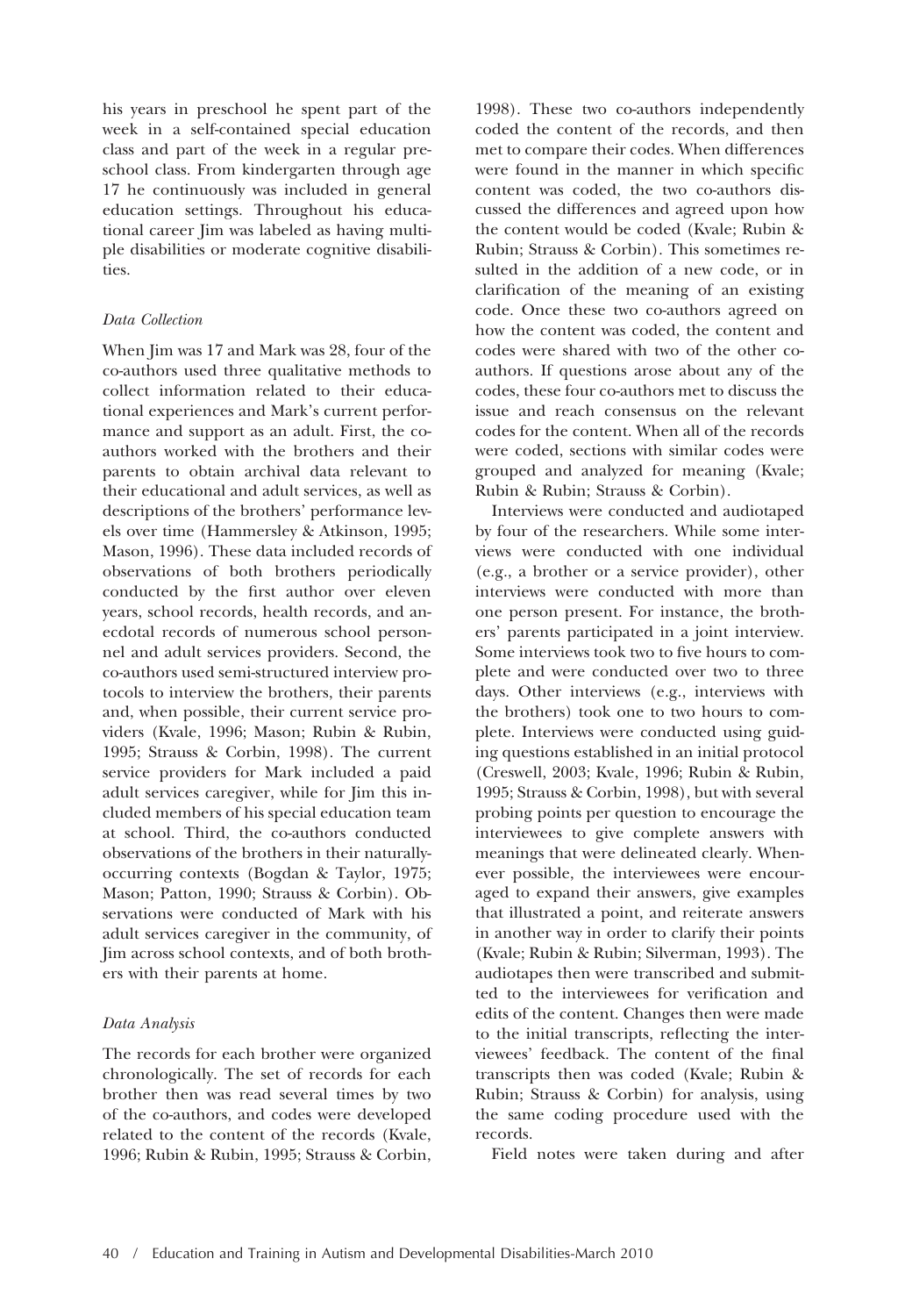his years in preschool he spent part of the week in a self-contained special education class and part of the week in a regular preschool class. From kindergarten through age 17 he continuously was included in general education settings. Throughout his educational career Jim was labeled as having multiple disabilities or moderate cognitive disabilities.

#### *Data Collection*

When Jim was 17 and Mark was 28, four of the co-authors used three qualitative methods to collect information related to their educational experiences and Mark's current performance and support as an adult. First, the coauthors worked with the brothers and their parents to obtain archival data relevant to their educational and adult services, as well as descriptions of the brothers' performance levels over time (Hammersley & Atkinson, 1995; Mason, 1996). These data included records of observations of both brothers periodically conducted by the first author over eleven years, school records, health records, and anecdotal records of numerous school personnel and adult services providers. Second, the co-authors used semi-structured interview protocols to interview the brothers, their parents and, when possible, their current service providers (Kvale, 1996; Mason; Rubin & Rubin, 1995; Strauss & Corbin, 1998). The current service providers for Mark included a paid adult services caregiver, while for Jim this included members of his special education team at school. Third, the co-authors conducted observations of the brothers in their naturallyoccurring contexts (Bogdan & Taylor, 1975; Mason; Patton, 1990; Strauss & Corbin). Observations were conducted of Mark with his adult services caregiver in the community, of Jim across school contexts, and of both brothers with their parents at home.

# *Data Analysis*

The records for each brother were organized chronologically. The set of records for each brother then was read several times by two of the co-authors, and codes were developed related to the content of the records (Kvale, 1996; Rubin & Rubin, 1995; Strauss & Corbin,

1998). These two co-authors independently coded the content of the records, and then met to compare their codes. When differences were found in the manner in which specific content was coded, the two co-authors discussed the differences and agreed upon how the content would be coded (Kvale; Rubin & Rubin; Strauss & Corbin). This sometimes resulted in the addition of a new code, or in clarification of the meaning of an existing code. Once these two co-authors agreed on how the content was coded, the content and codes were shared with two of the other coauthors. If questions arose about any of the codes, these four co-authors met to discuss the issue and reach consensus on the relevant codes for the content. When all of the records were coded, sections with similar codes were grouped and analyzed for meaning (Kvale; Rubin & Rubin; Strauss & Corbin).

Interviews were conducted and audiotaped by four of the researchers. While some interviews were conducted with one individual (e.g., a brother or a service provider), other interviews were conducted with more than one person present. For instance, the brothers' parents participated in a joint interview. Some interviews took two to five hours to complete and were conducted over two to three days. Other interviews (e.g., interviews with the brothers) took one to two hours to complete. Interviews were conducted using guiding questions established in an initial protocol (Creswell, 2003; Kvale, 1996; Rubin & Rubin, 1995; Strauss & Corbin, 1998), but with several probing points per question to encourage the interviewees to give complete answers with meanings that were delineated clearly. Whenever possible, the interviewees were encouraged to expand their answers, give examples that illustrated a point, and reiterate answers in another way in order to clarify their points (Kvale; Rubin & Rubin; Silverman, 1993). The audiotapes then were transcribed and submitted to the interviewees for verification and edits of the content. Changes then were made to the initial transcripts, reflecting the interviewees' feedback. The content of the final transcripts then was coded (Kvale; Rubin & Rubin; Strauss & Corbin) for analysis, using the same coding procedure used with the records.

Field notes were taken during and after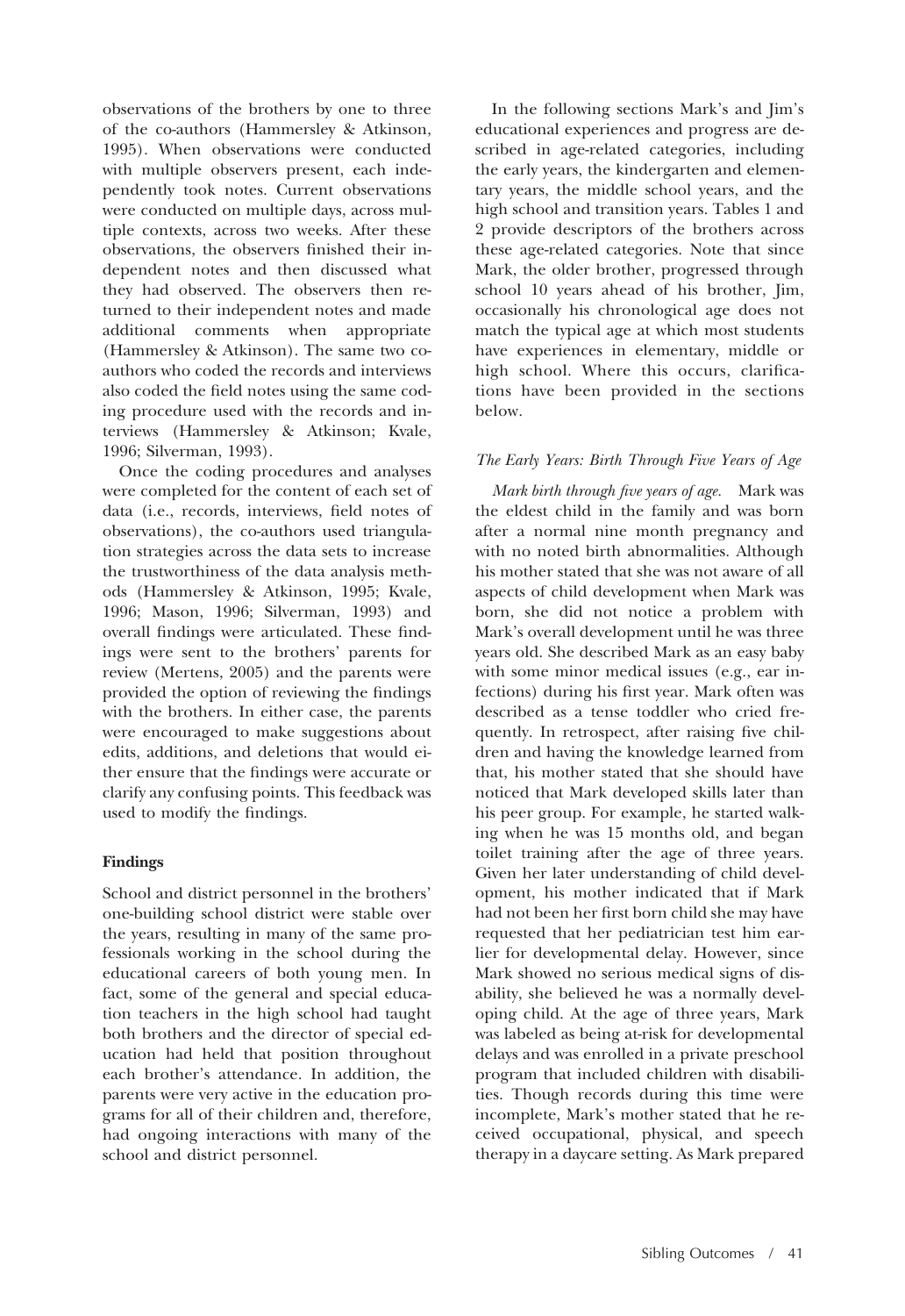observations of the brothers by one to three of the co-authors (Hammersley & Atkinson, 1995). When observations were conducted with multiple observers present, each independently took notes. Current observations were conducted on multiple days, across multiple contexts, across two weeks. After these observations, the observers finished their independent notes and then discussed what they had observed. The observers then returned to their independent notes and made additional comments when appropriate (Hammersley & Atkinson). The same two coauthors who coded the records and interviews also coded the field notes using the same coding procedure used with the records and interviews (Hammersley & Atkinson; Kvale, 1996; Silverman, 1993).

Once the coding procedures and analyses were completed for the content of each set of data (i.e., records, interviews, field notes of observations), the co-authors used triangulation strategies across the data sets to increase the trustworthiness of the data analysis methods (Hammersley & Atkinson, 1995; Kvale, 1996; Mason, 1996; Silverman, 1993) and overall findings were articulated. These findings were sent to the brothers' parents for review (Mertens, 2005) and the parents were provided the option of reviewing the findings with the brothers. In either case, the parents were encouraged to make suggestions about edits, additions, and deletions that would either ensure that the findings were accurate or clarify any confusing points. This feedback was used to modify the findings.

# **Findings**

School and district personnel in the brothers' one-building school district were stable over the years, resulting in many of the same professionals working in the school during the educational careers of both young men. In fact, some of the general and special education teachers in the high school had taught both brothers and the director of special education had held that position throughout each brother's attendance. In addition, the parents were very active in the education programs for all of their children and, therefore, had ongoing interactions with many of the school and district personnel.

In the following sections Mark's and Jim's educational experiences and progress are described in age-related categories, including the early years, the kindergarten and elementary years, the middle school years, and the high school and transition years. Tables 1 and 2 provide descriptors of the brothers across these age-related categories. Note that since Mark, the older brother, progressed through school 10 years ahead of his brother, Jim, occasionally his chronological age does not match the typical age at which most students have experiences in elementary, middle or high school. Where this occurs, clarifications have been provided in the sections below.

# *The Early Years: Birth Through Five Years of Age*

*Mark birth through five years of age.* Mark was the eldest child in the family and was born after a normal nine month pregnancy and with no noted birth abnormalities. Although his mother stated that she was not aware of all aspects of child development when Mark was born, she did not notice a problem with Mark's overall development until he was three years old. She described Mark as an easy baby with some minor medical issues (e.g., ear infections) during his first year. Mark often was described as a tense toddler who cried frequently. In retrospect, after raising five children and having the knowledge learned from that, his mother stated that she should have noticed that Mark developed skills later than his peer group. For example, he started walking when he was 15 months old, and began toilet training after the age of three years. Given her later understanding of child development, his mother indicated that if Mark had not been her first born child she may have requested that her pediatrician test him earlier for developmental delay. However, since Mark showed no serious medical signs of disability, she believed he was a normally developing child. At the age of three years, Mark was labeled as being at-risk for developmental delays and was enrolled in a private preschool program that included children with disabilities. Though records during this time were incomplete, Mark's mother stated that he received occupational, physical, and speech therapy in a daycare setting. As Mark prepared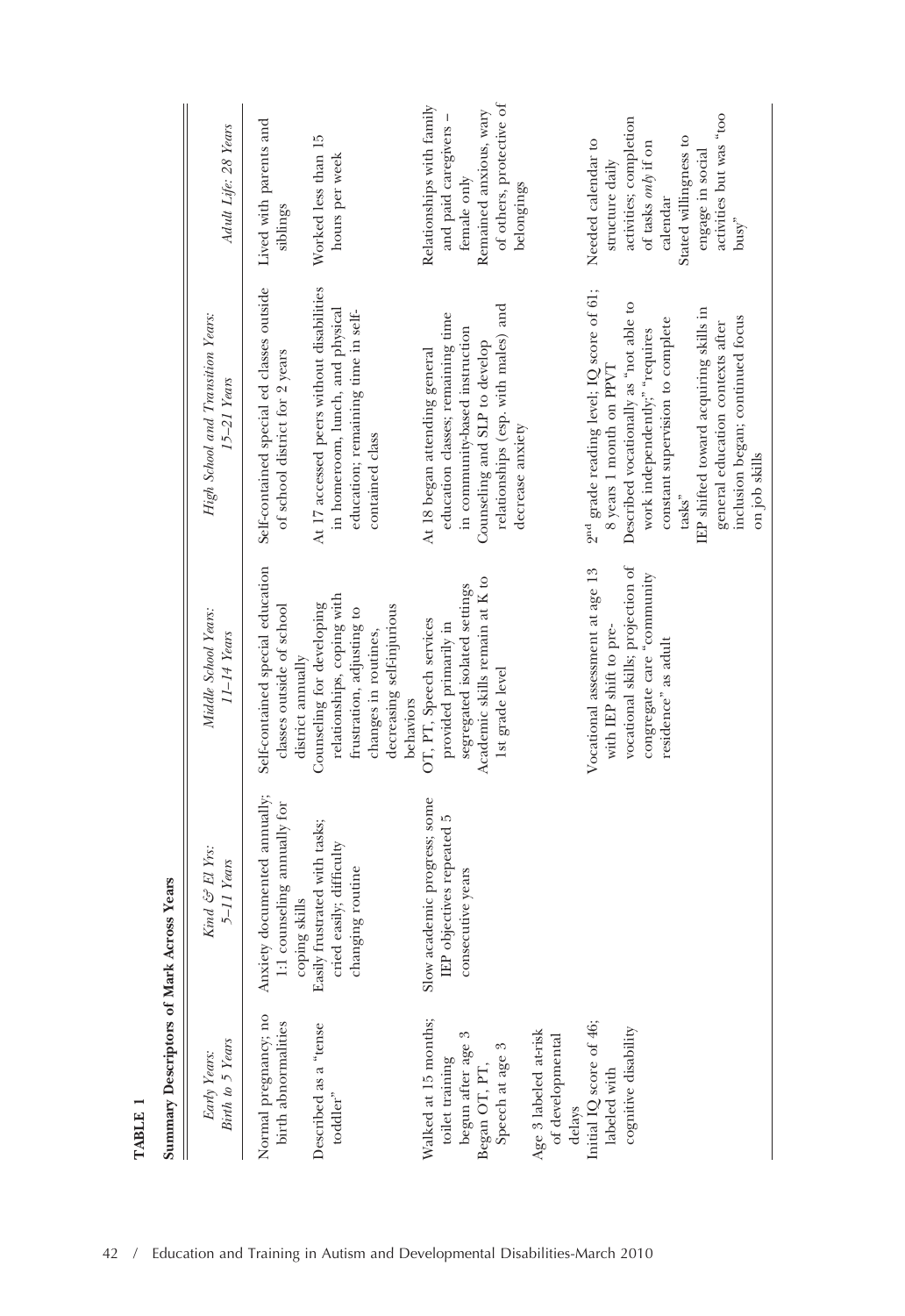| Birth to 5 Years<br>Early Years:                                                                                                          | $\mathit{Kind} \ \mathit{of} \ El$ $\mathit{Yrs:}$<br>$5-11$ Years                             | Middle School Years:<br>$11\text{--}14$ Years                                                                                                      | High School and Transition Years:<br>$15-21$ Years                                                                                                                                                                                                                                                                                              | Adult Life: 28 Years                                                                                                                                                                                                      |
|-------------------------------------------------------------------------------------------------------------------------------------------|------------------------------------------------------------------------------------------------|----------------------------------------------------------------------------------------------------------------------------------------------------|-------------------------------------------------------------------------------------------------------------------------------------------------------------------------------------------------------------------------------------------------------------------------------------------------------------------------------------------------|---------------------------------------------------------------------------------------------------------------------------------------------------------------------------------------------------------------------------|
| Normal pregnancy; no<br>birth abnormalities                                                                                               | Anxiety documented annually;<br>1:1 counseling annually for                                    | Self-contained special education<br>classes outside of school<br>district annually                                                                 | Self-contained special ed classes outside<br>of school district for 2 years                                                                                                                                                                                                                                                                     | Lived with parents and<br>siblings                                                                                                                                                                                        |
| Described as a "tense<br>toddler"                                                                                                         | Easily frustrated with tasks;<br>cried easily; difficulty<br>changing routine<br>coping skills | relationships, coping with<br>Counseling for developing<br>decreasing self-injurious<br>frustration, adjusting to<br>changes in routines,          | At 17 accessed peers without disabilities<br>in homeroom, lunch, and physical<br>education; remaining time in self-<br>contained class                                                                                                                                                                                                          | Worked less than 15<br>hours per week                                                                                                                                                                                     |
| Walked at 15 months;<br>begun after age<br>Speech at age 3<br>toilet training<br>Began OT, PT,                                            | Slow academic progress; some<br>IEP objectives repeated 5<br>consecutive years                 | Academic skills remain at K to<br>segregated isolated settings<br>OT, PT, Speech services<br>provided primarily in<br>Ist grade level<br>behaviors | relationships (esp. with males) and<br>education classes; remaining time<br>in community-based instruction<br>Counseling and SLP to develop<br>At 18 began attending general                                                                                                                                                                    | of others, protective of<br>Relationships with family<br>Remained anxious, wary<br>and paid caregivers -<br>female only                                                                                                   |
| delays $\label{eq:1} \text{Initial IQ score of 46;}$<br>cognitive disability<br>Age 3 labeled at-risk<br>of developmental<br>labeled with |                                                                                                | vocational skills; projection of<br>Vocational assessment at age 13<br>congregate care "community<br>with IEP shift to pre-<br>residence" as adult | 2 <sup>nd</sup> grade reading level; IQ score of 61;<br>Described vocationally as "not able to<br>IEP shifted toward acquiring skills in<br>inclusion began; continued focus<br>constant supervision to complete<br>general education contexts after<br>work independently;" "requires<br>8 years 1 month on PPVT<br>decrease anxiety<br>tasks" | activities but was "too<br>activities; completion<br>Stated willingness to<br>Needed calendar to<br>of tasks $\mathit{only}$ if on<br>engage in social<br>structure daily<br>belongings<br>calendar<br>$_{\text{busy}}$ " |
|                                                                                                                                           |                                                                                                |                                                                                                                                                    | on job skills                                                                                                                                                                                                                                                                                                                                   |                                                                                                                                                                                                                           |

Summary Descriptors of Mark Across Years **Summary Descriptors of Mark Across Years**

**TABLE 1**

TABLE 1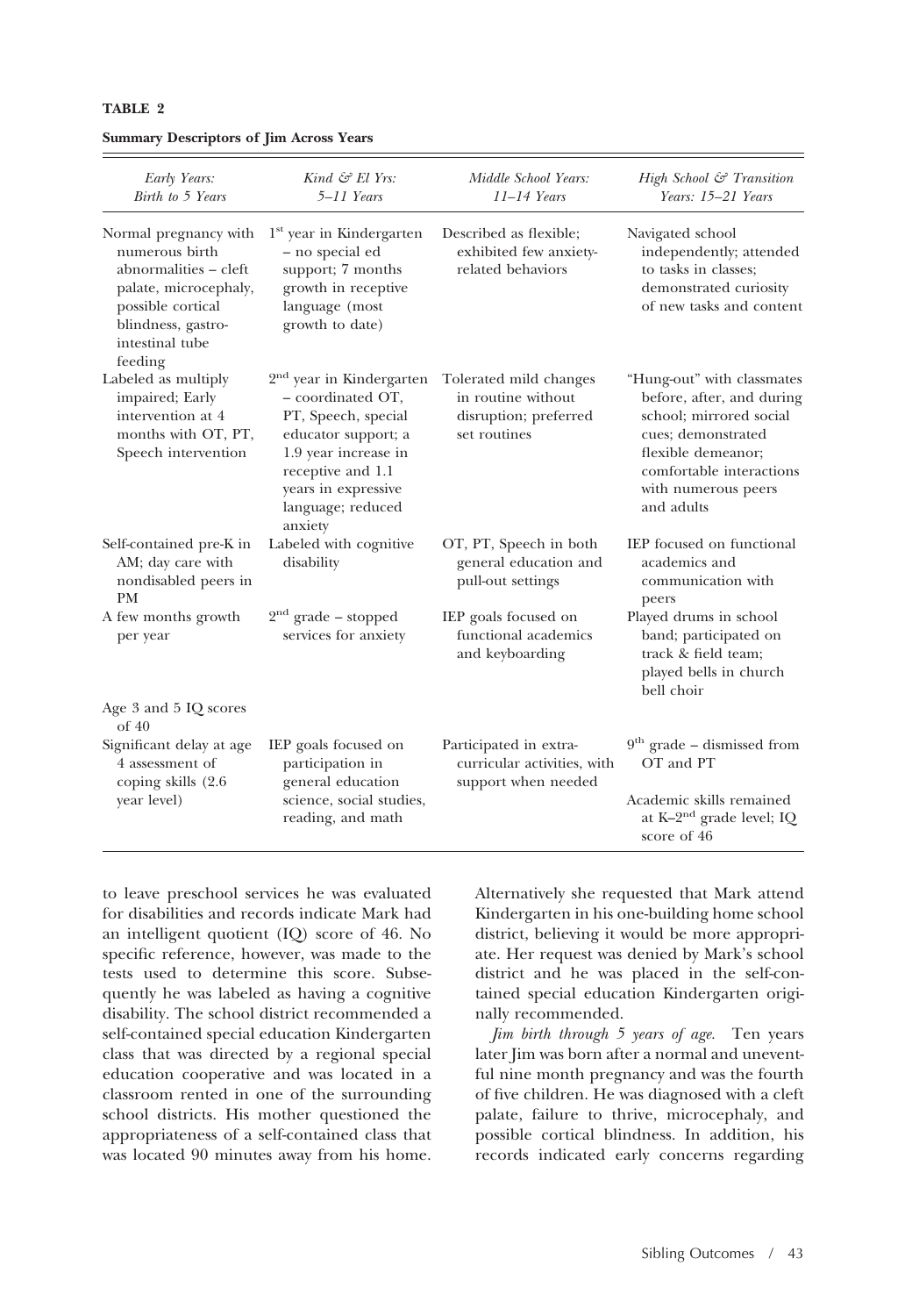| Early Years:<br>Birth to 5 Years                                                                                                                                   | Kind $\mathcal{C}$ El Yrs:<br>$5-11$ Years                                                                                                                                                                  | Middle School Years:<br>$11-14$ Years                                                 | High School & Transition<br>Years: 15-21 Years                                                                                                                                                  |
|--------------------------------------------------------------------------------------------------------------------------------------------------------------------|-------------------------------------------------------------------------------------------------------------------------------------------------------------------------------------------------------------|---------------------------------------------------------------------------------------|-------------------------------------------------------------------------------------------------------------------------------------------------------------------------------------------------|
| Normal pregnancy with<br>numerous birth<br>abnormalities – cleft<br>palate, microcephaly,<br>possible cortical<br>blindness, gastro-<br>intestinal tube<br>feeding | $1st$ year in Kindergarten<br>- no special ed<br>support; 7 months<br>growth in receptive<br>language (most<br>growth to date)                                                                              | Described as flexible;<br>exhibited few anxiety-<br>related behaviors                 | Navigated school<br>independently; attended<br>to tasks in classes;<br>demonstrated curiosity<br>of new tasks and content                                                                       |
| Labeled as multiply<br>impaired; Early<br>intervention at 4<br>months with OT, PT,<br>Speech intervention                                                          | 2 <sup>nd</sup> year in Kindergarten<br>- coordinated OT,<br>PT, Speech, special<br>educator support; a<br>1.9 year increase in<br>receptive and 1.1<br>years in expressive<br>language; reduced<br>anxiety | Tolerated mild changes<br>in routine without<br>disruption; preferred<br>set routines | "Hung-out" with classmates<br>before, after, and during<br>school: mirrored social<br>cues; demonstrated<br>flexible demeanor;<br>comfortable interactions<br>with numerous peers<br>and adults |
| Self-contained pre-K in<br>AM; day care with<br>nondisabled peers in<br>PМ                                                                                         | Labeled with cognitive<br>disability                                                                                                                                                                        | OT, PT, Speech in both<br>general education and<br>pull-out settings                  | IEP focused on functional<br>academics and<br>communication with<br>peers                                                                                                                       |
| A few months growth<br>per year                                                                                                                                    | $2nd$ grade – stopped<br>services for anxiety                                                                                                                                                               | IEP goals focused on<br>functional academics<br>and keyboarding                       | Played drums in school<br>band; participated on<br>track & field team;<br>played bells in church<br>bell choir                                                                                  |
| Age 3 and 5 IQ scores<br>of 40                                                                                                                                     |                                                                                                                                                                                                             |                                                                                       |                                                                                                                                                                                                 |
| Significant delay at age<br>4 assessment of<br>coping skills (2.6)<br>year level)                                                                                  | IEP goals focused on<br>participation in<br>general education<br>science, social studies,<br>reading, and math                                                                                              | Participated in extra-<br>curricular activities, with<br>support when needed          | $9th$ grade – dismissed from<br>OT and PT                                                                                                                                                       |
|                                                                                                                                                                    |                                                                                                                                                                                                             |                                                                                       | Academic skills remained<br>at K-2 <sup>nd</sup> grade level; IQ<br>score of 46                                                                                                                 |

#### **TABLE 2**

|  | <b>Summary Descriptors of Jim Across Years</b> |  |  |  |
|--|------------------------------------------------|--|--|--|
|--|------------------------------------------------|--|--|--|

to leave preschool services he was evaluated for disabilities and records indicate Mark had an intelligent quotient (IQ) score of 46. No specific reference, however, was made to the tests used to determine this score. Subsequently he was labeled as having a cognitive disability. The school district recommended a self-contained special education Kindergarten class that was directed by a regional special education cooperative and was located in a classroom rented in one of the surrounding school districts. His mother questioned the appropriateness of a self-contained class that was located 90 minutes away from his home. Alternatively she requested that Mark attend Kindergarten in his one-building home school district, believing it would be more appropriate. Her request was denied by Mark's school district and he was placed in the self-contained special education Kindergarten originally recommended.

*Jim birth through 5 years of age.* Ten years later Jim was born after a normal and uneventful nine month pregnancy and was the fourth of five children. He was diagnosed with a cleft palate, failure to thrive, microcephaly, and possible cortical blindness. In addition, his records indicated early concerns regarding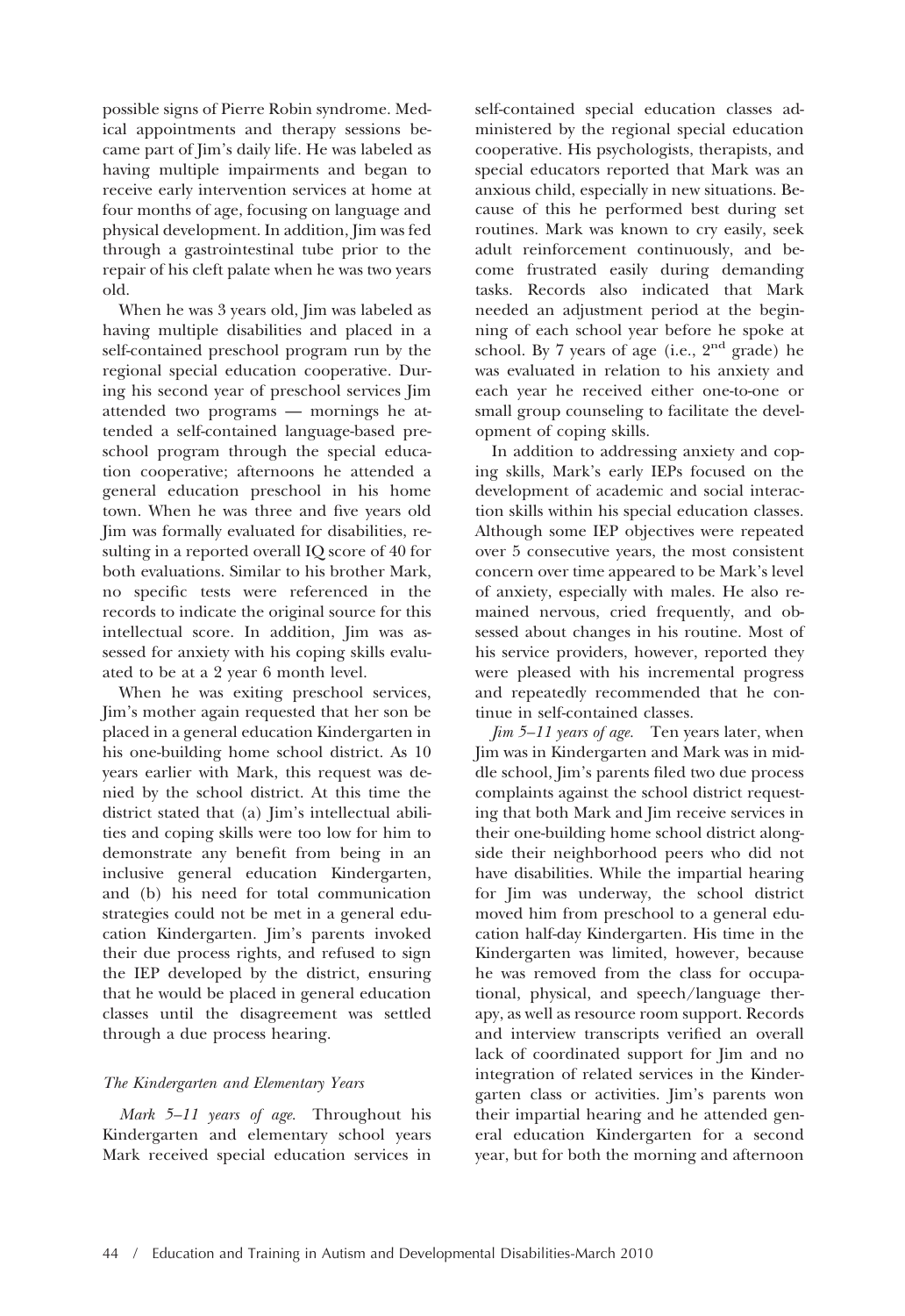possible signs of Pierre Robin syndrome. Medical appointments and therapy sessions became part of Jim's daily life. He was labeled as having multiple impairments and began to receive early intervention services at home at four months of age, focusing on language and physical development. In addition, Jim was fed through a gastrointestinal tube prior to the repair of his cleft palate when he was two years old.

When he was 3 years old, Jim was labeled as having multiple disabilities and placed in a self-contained preschool program run by the regional special education cooperative. During his second year of preschool services Jim attended two programs — mornings he attended a self-contained language-based preschool program through the special education cooperative; afternoons he attended a general education preschool in his home town. When he was three and five years old Jim was formally evaluated for disabilities, resulting in a reported overall IQ score of 40 for both evaluations. Similar to his brother Mark, no specific tests were referenced in the records to indicate the original source for this intellectual score. In addition, Jim was assessed for anxiety with his coping skills evaluated to be at a 2 year 6 month level.

When he was exiting preschool services, Jim's mother again requested that her son be placed in a general education Kindergarten in his one-building home school district. As 10 years earlier with Mark, this request was denied by the school district. At this time the district stated that (a) Jim's intellectual abilities and coping skills were too low for him to demonstrate any benefit from being in an inclusive general education Kindergarten, and (b) his need for total communication strategies could not be met in a general education Kindergarten. Jim's parents invoked their due process rights, and refused to sign the IEP developed by the district, ensuring that he would be placed in general education classes until the disagreement was settled through a due process hearing.

# *The Kindergarten and Elementary Years*

*Mark 5–11 years of age.* Throughout his Kindergarten and elementary school years Mark received special education services in

self-contained special education classes administered by the regional special education cooperative. His psychologists, therapists, and special educators reported that Mark was an anxious child, especially in new situations. Because of this he performed best during set routines. Mark was known to cry easily, seek adult reinforcement continuously, and become frustrated easily during demanding tasks. Records also indicated that Mark needed an adjustment period at the beginning of each school year before he spoke at school. By 7 years of age (i.e.,  $2<sup>nd</sup>$  grade) he was evaluated in relation to his anxiety and each year he received either one-to-one or small group counseling to facilitate the development of coping skills.

In addition to addressing anxiety and coping skills, Mark's early IEPs focused on the development of academic and social interaction skills within his special education classes. Although some IEP objectives were repeated over 5 consecutive years, the most consistent concern over time appeared to be Mark's level of anxiety, especially with males. He also remained nervous, cried frequently, and obsessed about changes in his routine. Most of his service providers, however, reported they were pleased with his incremental progress and repeatedly recommended that he continue in self-contained classes.

*Jim 5–11 years of age.* Ten years later, when Jim was in Kindergarten and Mark was in middle school, Jim's parents filed two due process complaints against the school district requesting that both Mark and Jim receive services in their one-building home school district alongside their neighborhood peers who did not have disabilities. While the impartial hearing for Jim was underway, the school district moved him from preschool to a general education half-day Kindergarten. His time in the Kindergarten was limited, however, because he was removed from the class for occupational, physical, and speech/language therapy, as well as resource room support. Records and interview transcripts verified an overall lack of coordinated support for Jim and no integration of related services in the Kindergarten class or activities. Jim's parents won their impartial hearing and he attended general education Kindergarten for a second year, but for both the morning and afternoon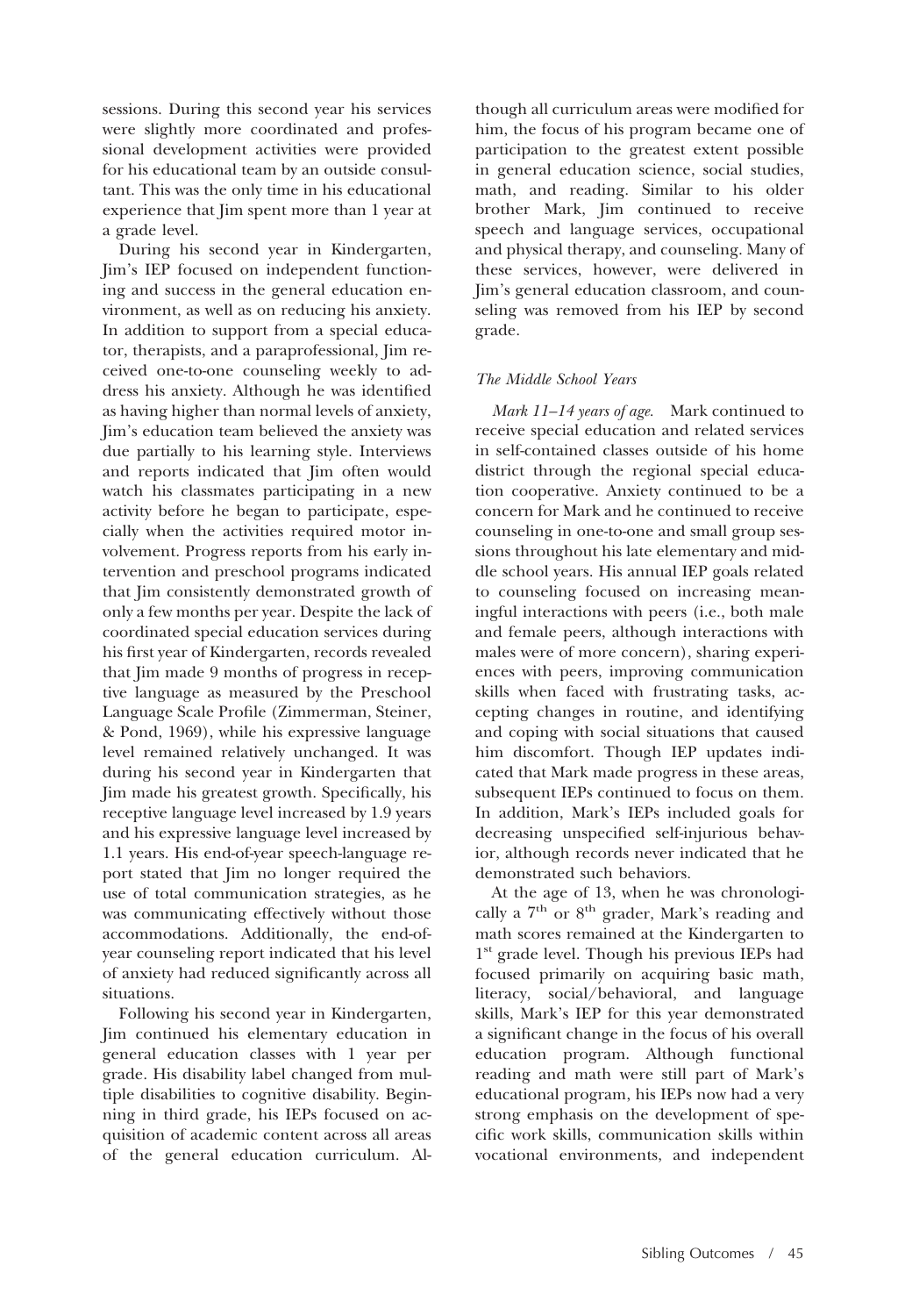sessions. During this second year his services were slightly more coordinated and professional development activities were provided for his educational team by an outside consultant. This was the only time in his educational experience that Jim spent more than 1 year at a grade level.

During his second year in Kindergarten, Jim's IEP focused on independent functioning and success in the general education environment, as well as on reducing his anxiety. In addition to support from a special educator, therapists, and a paraprofessional, Jim received one-to-one counseling weekly to address his anxiety. Although he was identified as having higher than normal levels of anxiety, Jim's education team believed the anxiety was due partially to his learning style. Interviews and reports indicated that Jim often would watch his classmates participating in a new activity before he began to participate, especially when the activities required motor involvement. Progress reports from his early intervention and preschool programs indicated that Jim consistently demonstrated growth of only a few months per year. Despite the lack of coordinated special education services during his first year of Kindergarten, records revealed that Jim made 9 months of progress in receptive language as measured by the Preschool Language Scale Profile (Zimmerman, Steiner, & Pond, 1969), while his expressive language level remained relatively unchanged. It was during his second year in Kindergarten that Jim made his greatest growth. Specifically, his receptive language level increased by 1.9 years and his expressive language level increased by 1.1 years. His end-of-year speech-language report stated that Jim no longer required the use of total communication strategies, as he was communicating effectively without those accommodations. Additionally, the end-ofyear counseling report indicated that his level of anxiety had reduced significantly across all situations.

Following his second year in Kindergarten, Jim continued his elementary education in general education classes with 1 year per grade. His disability label changed from multiple disabilities to cognitive disability. Beginning in third grade, his IEPs focused on acquisition of academic content across all areas of the general education curriculum. Al-

though all curriculum areas were modified for him, the focus of his program became one of participation to the greatest extent possible in general education science, social studies, math, and reading. Similar to his older brother Mark, Jim continued to receive speech and language services, occupational and physical therapy, and counseling. Many of these services, however, were delivered in Jim's general education classroom, and counseling was removed from his IEP by second grade.

# *The Middle School Years*

*Mark 11–14 years of age.* Mark continued to receive special education and related services in self-contained classes outside of his home district through the regional special education cooperative. Anxiety continued to be a concern for Mark and he continued to receive counseling in one-to-one and small group sessions throughout his late elementary and middle school years. His annual IEP goals related to counseling focused on increasing meaningful interactions with peers (i.e., both male and female peers, although interactions with males were of more concern), sharing experiences with peers, improving communication skills when faced with frustrating tasks, accepting changes in routine, and identifying and coping with social situations that caused him discomfort. Though IEP updates indicated that Mark made progress in these areas, subsequent IEPs continued to focus on them. In addition, Mark's IEPs included goals for decreasing unspecified self-injurious behavior, although records never indicated that he demonstrated such behaviors.

At the age of 13, when he was chronologically a  $7<sup>th</sup>$  or  $8<sup>th</sup>$  grader, Mark's reading and math scores remained at the Kindergarten to 1<sup>st</sup> grade level. Though his previous IEPs had focused primarily on acquiring basic math, literacy, social/behavioral, and language skills, Mark's IEP for this year demonstrated a significant change in the focus of his overall education program. Although functional reading and math were still part of Mark's educational program, his IEPs now had a very strong emphasis on the development of specific work skills, communication skills within vocational environments, and independent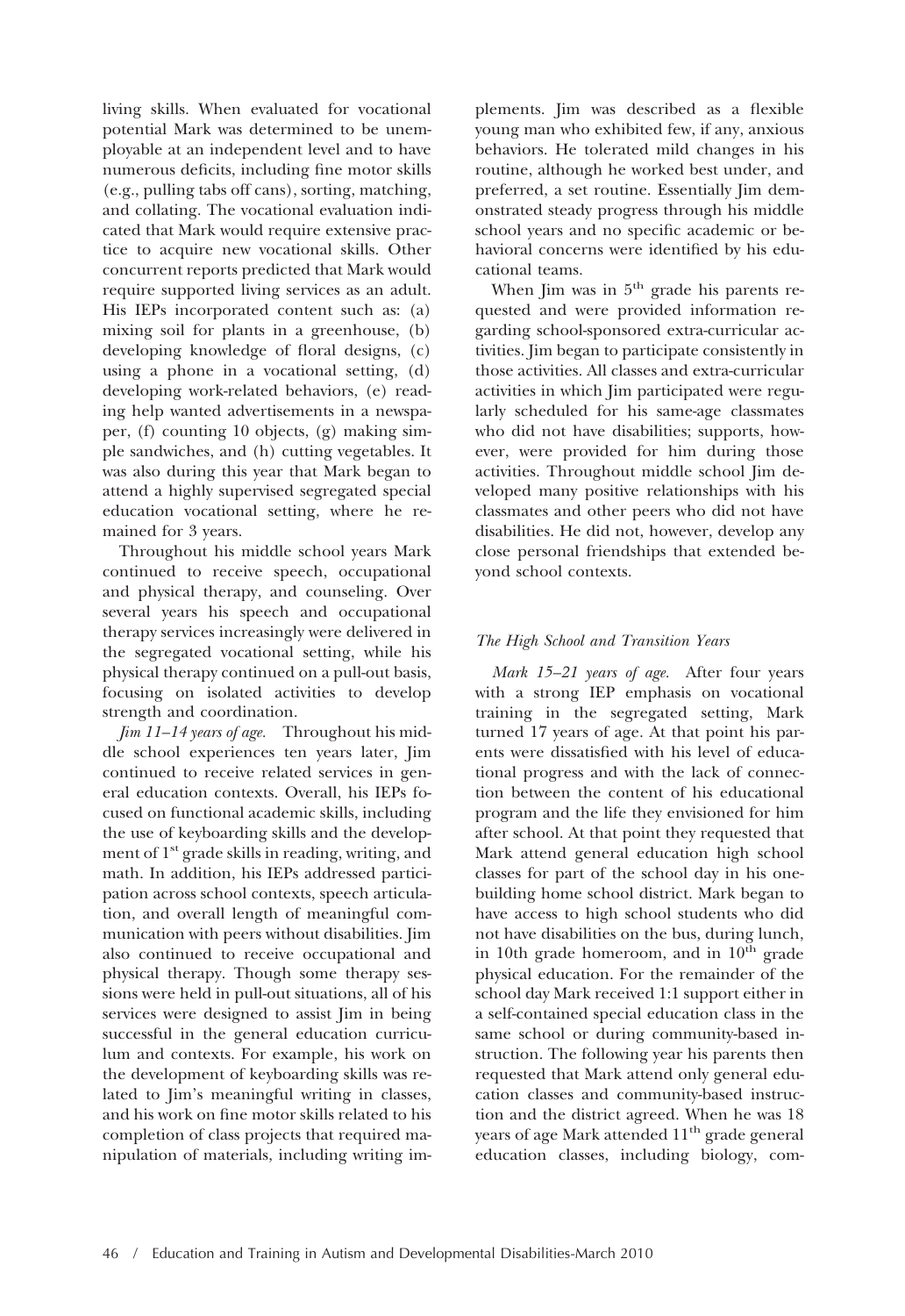living skills. When evaluated for vocational potential Mark was determined to be unemployable at an independent level and to have numerous deficits, including fine motor skills (e.g., pulling tabs off cans), sorting, matching, and collating. The vocational evaluation indicated that Mark would require extensive practice to acquire new vocational skills. Other concurrent reports predicted that Mark would require supported living services as an adult. His IEPs incorporated content such as: (a) mixing soil for plants in a greenhouse, (b) developing knowledge of floral designs, (c) using a phone in a vocational setting, (d) developing work-related behaviors, (e) reading help wanted advertisements in a newspaper, (f) counting 10 objects, (g) making simple sandwiches, and (h) cutting vegetables. It was also during this year that Mark began to attend a highly supervised segregated special education vocational setting, where he remained for 3 years.

Throughout his middle school years Mark continued to receive speech, occupational and physical therapy, and counseling. Over several years his speech and occupational therapy services increasingly were delivered in the segregated vocational setting, while his physical therapy continued on a pull-out basis, focusing on isolated activities to develop strength and coordination.

*Jim 11–14 years of age.* Throughout his middle school experiences ten years later, Jim continued to receive related services in general education contexts. Overall, his IEPs focused on functional academic skills, including the use of keyboarding skills and the development of  $1<sup>st</sup>$  grade skills in reading, writing, and math. In addition, his IEPs addressed participation across school contexts, speech articulation, and overall length of meaningful communication with peers without disabilities. Jim also continued to receive occupational and physical therapy. Though some therapy sessions were held in pull-out situations, all of his services were designed to assist Jim in being successful in the general education curriculum and contexts. For example, his work on the development of keyboarding skills was related to Jim's meaningful writing in classes, and his work on fine motor skills related to his completion of class projects that required manipulation of materials, including writing implements. Jim was described as a flexible young man who exhibited few, if any, anxious behaviors. He tolerated mild changes in his routine, although he worked best under, and preferred, a set routine. Essentially Jim demonstrated steady progress through his middle school years and no specific academic or behavioral concerns were identified by his educational teams.

When Jim was in 5<sup>th</sup> grade his parents requested and were provided information regarding school-sponsored extra-curricular activities. Jim began to participate consistently in those activities. All classes and extra-curricular activities in which Jim participated were regularly scheduled for his same-age classmates who did not have disabilities; supports, however, were provided for him during those activities. Throughout middle school Jim developed many positive relationships with his classmates and other peers who did not have disabilities. He did not, however, develop any close personal friendships that extended beyond school contexts.

# *The High School and Transition Years*

*Mark 15–21 years of age.* After four years with a strong IEP emphasis on vocational training in the segregated setting, Mark turned 17 years of age. At that point his parents were dissatisfied with his level of educational progress and with the lack of connection between the content of his educational program and the life they envisioned for him after school. At that point they requested that Mark attend general education high school classes for part of the school day in his onebuilding home school district. Mark began to have access to high school students who did not have disabilities on the bus, during lunch, in 10th grade homeroom, and in  $10<sup>th</sup>$  grade physical education. For the remainder of the school day Mark received 1:1 support either in a self-contained special education class in the same school or during community-based instruction. The following year his parents then requested that Mark attend only general education classes and community-based instruction and the district agreed. When he was 18 years of age Mark attended 11<sup>th</sup> grade general education classes, including biology, com-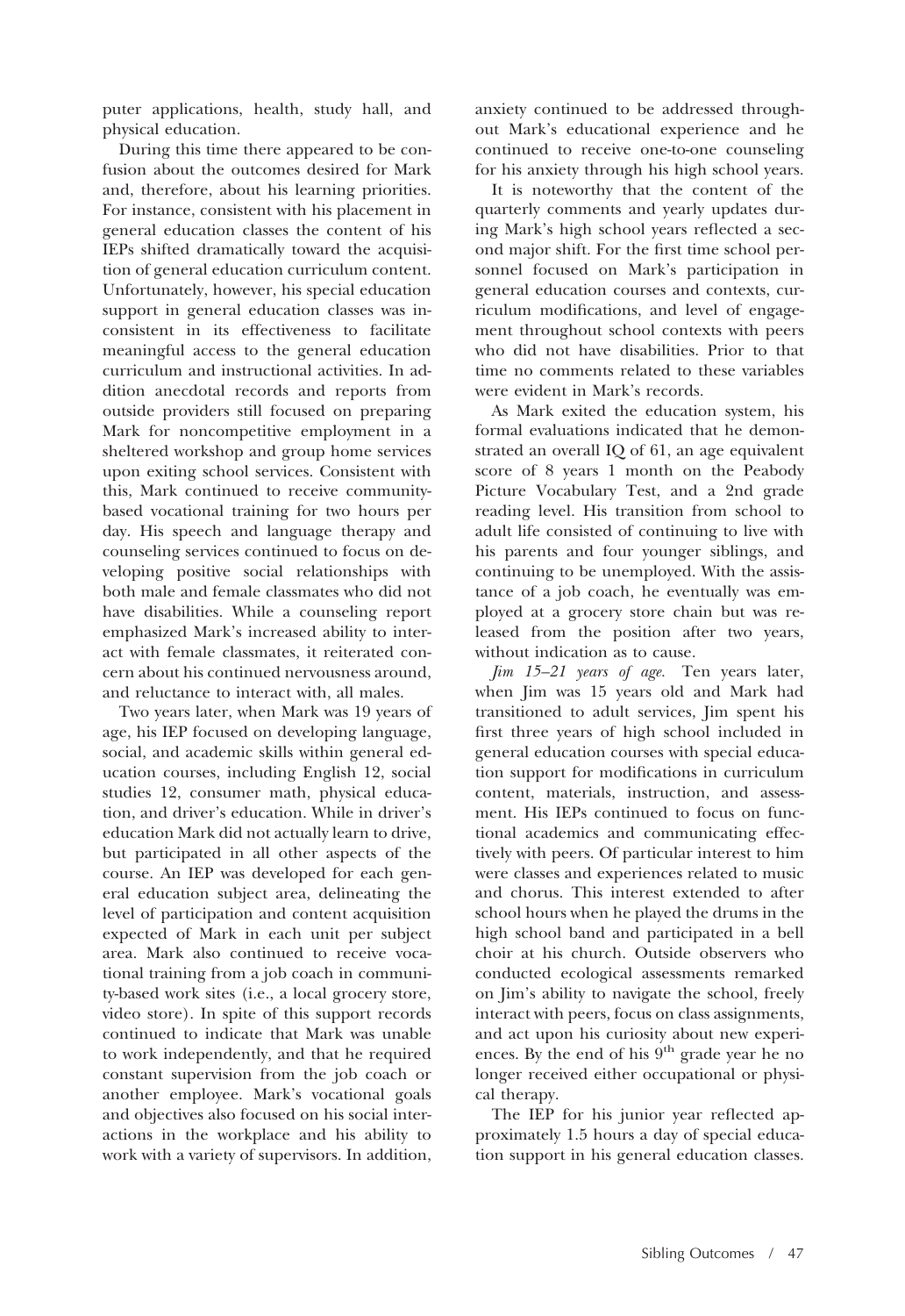puter applications, health, study hall, and physical education.

During this time there appeared to be confusion about the outcomes desired for Mark and, therefore, about his learning priorities. For instance, consistent with his placement in general education classes the content of his IEPs shifted dramatically toward the acquisition of general education curriculum content. Unfortunately, however, his special education support in general education classes was inconsistent in its effectiveness to facilitate meaningful access to the general education curriculum and instructional activities. In addition anecdotal records and reports from outside providers still focused on preparing Mark for noncompetitive employment in a sheltered workshop and group home services upon exiting school services. Consistent with this, Mark continued to receive communitybased vocational training for two hours per day. His speech and language therapy and counseling services continued to focus on developing positive social relationships with both male and female classmates who did not have disabilities. While a counseling report emphasized Mark's increased ability to interact with female classmates, it reiterated concern about his continued nervousness around, and reluctance to interact with, all males.

Two years later, when Mark was 19 years of age, his IEP focused on developing language, social, and academic skills within general education courses, including English 12, social studies 12, consumer math, physical education, and driver's education. While in driver's education Mark did not actually learn to drive, but participated in all other aspects of the course. An IEP was developed for each general education subject area, delineating the level of participation and content acquisition expected of Mark in each unit per subject area. Mark also continued to receive vocational training from a job coach in community-based work sites (i.e., a local grocery store, video store). In spite of this support records continued to indicate that Mark was unable to work independently, and that he required constant supervision from the job coach or another employee. Mark's vocational goals and objectives also focused on his social interactions in the workplace and his ability to work with a variety of supervisors. In addition, anxiety continued to be addressed throughout Mark's educational experience and he continued to receive one-to-one counseling for his anxiety through his high school years.

It is noteworthy that the content of the quarterly comments and yearly updates during Mark's high school years reflected a second major shift. For the first time school personnel focused on Mark's participation in general education courses and contexts, curriculum modifications, and level of engagement throughout school contexts with peers who did not have disabilities. Prior to that time no comments related to these variables were evident in Mark's records.

As Mark exited the education system, his formal evaluations indicated that he demonstrated an overall IQ of 61, an age equivalent score of 8 years 1 month on the Peabody Picture Vocabulary Test, and a 2nd grade reading level. His transition from school to adult life consisted of continuing to live with his parents and four younger siblings, and continuing to be unemployed. With the assistance of a job coach, he eventually was employed at a grocery store chain but was released from the position after two years, without indication as to cause.

*Jim 15–21 years of age.* Ten years later, when Jim was 15 years old and Mark had transitioned to adult services, Jim spent his first three years of high school included in general education courses with special education support for modifications in curriculum content, materials, instruction, and assessment. His IEPs continued to focus on functional academics and communicating effectively with peers. Of particular interest to him were classes and experiences related to music and chorus. This interest extended to after school hours when he played the drums in the high school band and participated in a bell choir at his church. Outside observers who conducted ecological assessments remarked on Jim's ability to navigate the school, freely interact with peers, focus on class assignments, and act upon his curiosity about new experiences. By the end of his 9<sup>th</sup> grade year he no longer received either occupational or physical therapy.

The IEP for his junior year reflected approximately 1.5 hours a day of special education support in his general education classes.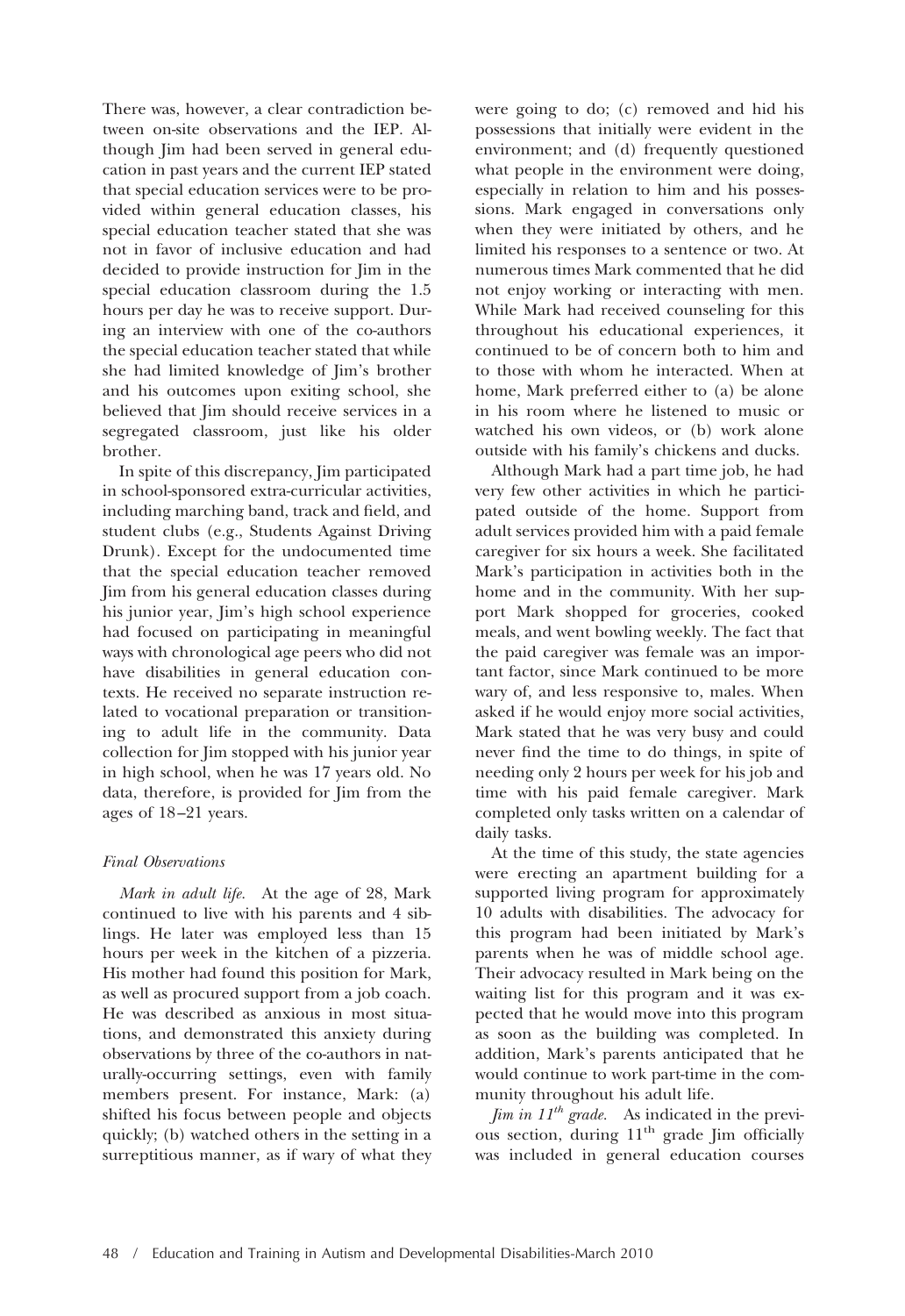There was, however, a clear contradiction between on-site observations and the IEP. Although Jim had been served in general education in past years and the current IEP stated that special education services were to be provided within general education classes, his special education teacher stated that she was not in favor of inclusive education and had decided to provide instruction for Jim in the special education classroom during the 1.5 hours per day he was to receive support. During an interview with one of the co-authors the special education teacher stated that while she had limited knowledge of Jim's brother and his outcomes upon exiting school, she believed that Jim should receive services in a segregated classroom, just like his older brother.

In spite of this discrepancy, Jim participated in school-sponsored extra-curricular activities, including marching band, track and field, and student clubs (e.g., Students Against Driving Drunk). Except for the undocumented time that the special education teacher removed Jim from his general education classes during his junior year, Jim's high school experience had focused on participating in meaningful ways with chronological age peers who did not have disabilities in general education contexts. He received no separate instruction related to vocational preparation or transitioning to adult life in the community. Data collection for Jim stopped with his junior year in high school, when he was 17 years old. No data, therefore, is provided for Jim from the ages of 18 –21 years.

# *Final Observations*

*Mark in adult life.* At the age of 28, Mark continued to live with his parents and 4 siblings. He later was employed less than 15 hours per week in the kitchen of a pizzeria. His mother had found this position for Mark, as well as procured support from a job coach. He was described as anxious in most situations, and demonstrated this anxiety during observations by three of the co-authors in naturally-occurring settings, even with family members present. For instance, Mark: (a) shifted his focus between people and objects quickly; (b) watched others in the setting in a surreptitious manner, as if wary of what they were going to do; (c) removed and hid his possessions that initially were evident in the environment; and (d) frequently questioned what people in the environment were doing, especially in relation to him and his possessions. Mark engaged in conversations only when they were initiated by others, and he limited his responses to a sentence or two. At numerous times Mark commented that he did not enjoy working or interacting with men. While Mark had received counseling for this throughout his educational experiences, it continued to be of concern both to him and to those with whom he interacted. When at home, Mark preferred either to (a) be alone in his room where he listened to music or watched his own videos, or (b) work alone outside with his family's chickens and ducks.

Although Mark had a part time job, he had very few other activities in which he participated outside of the home. Support from adult services provided him with a paid female caregiver for six hours a week. She facilitated Mark's participation in activities both in the home and in the community. With her support Mark shopped for groceries, cooked meals, and went bowling weekly. The fact that the paid caregiver was female was an important factor, since Mark continued to be more wary of, and less responsive to, males. When asked if he would enjoy more social activities, Mark stated that he was very busy and could never find the time to do things, in spite of needing only 2 hours per week for his job and time with his paid female caregiver. Mark completed only tasks written on a calendar of daily tasks.

At the time of this study, the state agencies were erecting an apartment building for a supported living program for approximately 10 adults with disabilities. The advocacy for this program had been initiated by Mark's parents when he was of middle school age. Their advocacy resulted in Mark being on the waiting list for this program and it was expected that he would move into this program as soon as the building was completed. In addition, Mark's parents anticipated that he would continue to work part-time in the community throughout his adult life.

*Jim in 11th grade.* As indicated in the previous section, during  $11<sup>th</sup>$  grade Jim officially was included in general education courses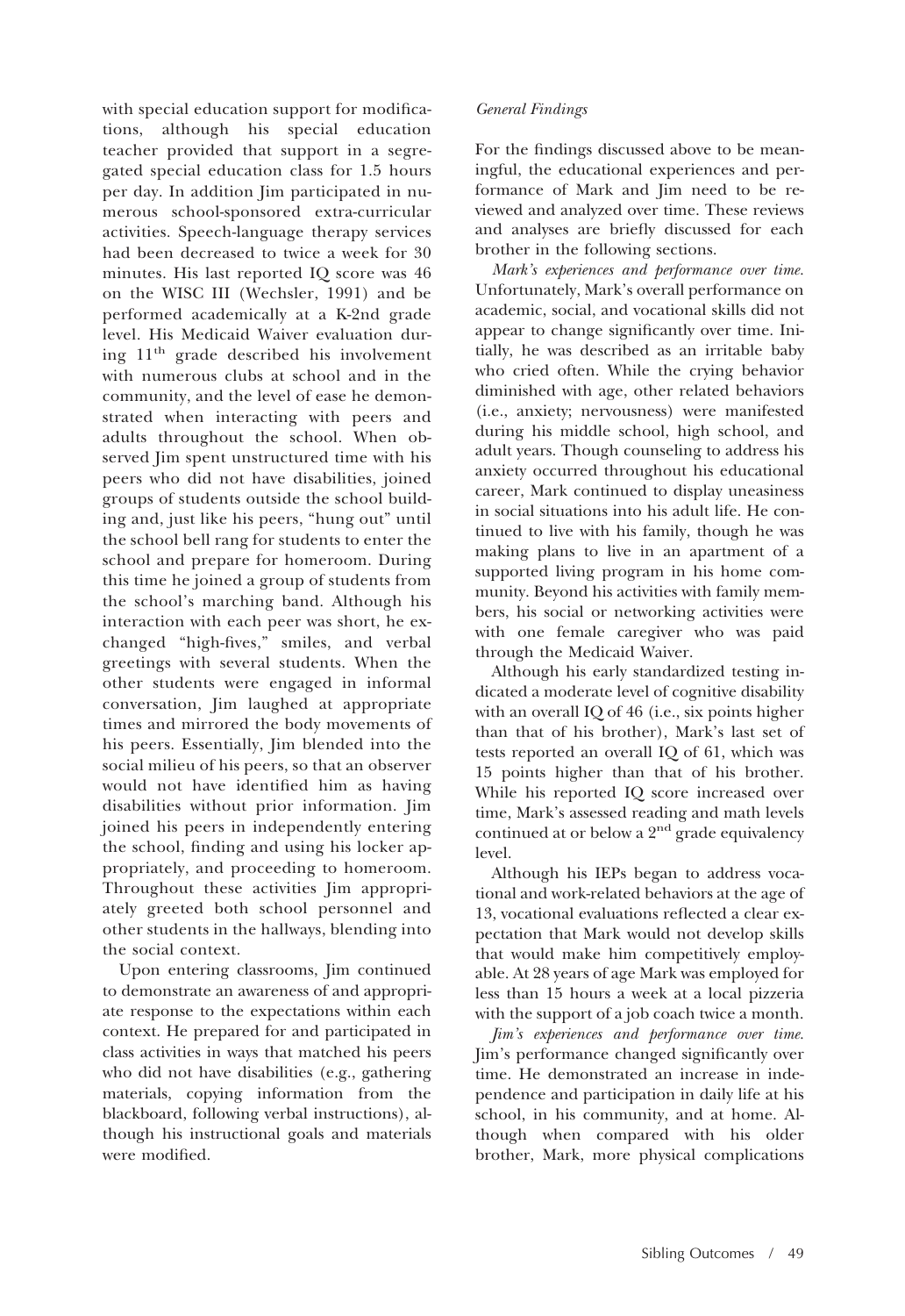with special education support for modifications, although his special education teacher provided that support in a segregated special education class for 1.5 hours per day. In addition Jim participated in numerous school-sponsored extra-curricular activities. Speech-language therapy services had been decreased to twice a week for 30 minutes. His last reported IQ score was 46 on the WISC III (Wechsler, 1991) and be performed academically at a K-2nd grade level. His Medicaid Waiver evaluation during 11th grade described his involvement with numerous clubs at school and in the community, and the level of ease he demonstrated when interacting with peers and adults throughout the school. When observed Jim spent unstructured time with his peers who did not have disabilities, joined groups of students outside the school building and, just like his peers, "hung out" until the school bell rang for students to enter the school and prepare for homeroom. During this time he joined a group of students from the school's marching band. Although his interaction with each peer was short, he exchanged "high-fives," smiles, and verbal greetings with several students. When the other students were engaged in informal conversation, Jim laughed at appropriate times and mirrored the body movements of his peers. Essentially, Jim blended into the social milieu of his peers, so that an observer would not have identified him as having disabilities without prior information. Jim joined his peers in independently entering the school, finding and using his locker appropriately, and proceeding to homeroom. Throughout these activities Jim appropriately greeted both school personnel and other students in the hallways, blending into the social context.

Upon entering classrooms, Jim continued to demonstrate an awareness of and appropriate response to the expectations within each context. He prepared for and participated in class activities in ways that matched his peers who did not have disabilities (e.g., gathering materials, copying information from the blackboard, following verbal instructions), although his instructional goals and materials were modified.

# *General Findings*

For the findings discussed above to be meaningful, the educational experiences and performance of Mark and Jim need to be reviewed and analyzed over time. These reviews and analyses are briefly discussed for each brother in the following sections.

*Mark's experiences and performance over time.* Unfortunately, Mark's overall performance on academic, social, and vocational skills did not appear to change significantly over time. Initially, he was described as an irritable baby who cried often. While the crying behavior diminished with age, other related behaviors (i.e., anxiety; nervousness) were manifested during his middle school, high school, and adult years. Though counseling to address his anxiety occurred throughout his educational career, Mark continued to display uneasiness in social situations into his adult life. He continued to live with his family, though he was making plans to live in an apartment of a supported living program in his home community. Beyond his activities with family members, his social or networking activities were with one female caregiver who was paid through the Medicaid Waiver.

Although his early standardized testing indicated a moderate level of cognitive disability with an overall IQ of 46 (i.e., six points higher than that of his brother), Mark's last set of tests reported an overall IQ of 61, which was 15 points higher than that of his brother. While his reported IQ score increased over time, Mark's assessed reading and math levels continued at or below a 2<sup>nd</sup> grade equivalency level.

Although his IEPs began to address vocational and work-related behaviors at the age of 13, vocational evaluations reflected a clear expectation that Mark would not develop skills that would make him competitively employable. At 28 years of age Mark was employed for less than 15 hours a week at a local pizzeria with the support of a job coach twice a month.

*Jim's experiences and performance over time.* Jim's performance changed significantly over time. He demonstrated an increase in independence and participation in daily life at his school, in his community, and at home. Although when compared with his older brother, Mark, more physical complications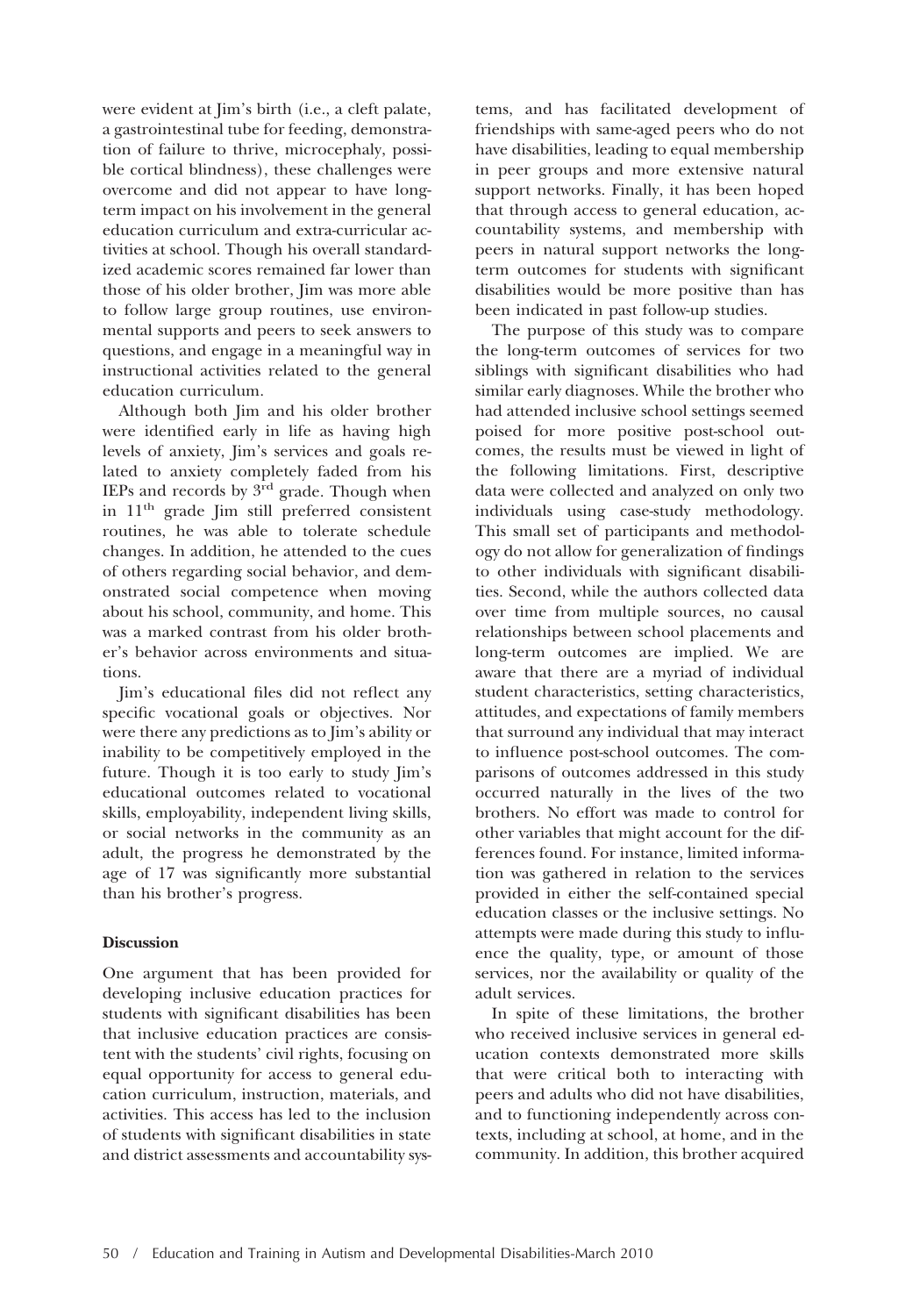were evident at Jim's birth (i.e., a cleft palate, a gastrointestinal tube for feeding, demonstration of failure to thrive, microcephaly, possible cortical blindness), these challenges were overcome and did not appear to have longterm impact on his involvement in the general education curriculum and extra-curricular activities at school. Though his overall standardized academic scores remained far lower than those of his older brother, Jim was more able to follow large group routines, use environmental supports and peers to seek answers to questions, and engage in a meaningful way in instructional activities related to the general education curriculum.

Although both Jim and his older brother were identified early in life as having high levels of anxiety, Jim's services and goals related to anxiety completely faded from his IEPs and records by  $3<sup>rd</sup>$  grade. Though when in 11th grade Jim still preferred consistent routines, he was able to tolerate schedule changes. In addition, he attended to the cues of others regarding social behavior, and demonstrated social competence when moving about his school, community, and home. This was a marked contrast from his older brother's behavior across environments and situations.

Jim's educational files did not reflect any specific vocational goals or objectives. Nor were there any predictions as to Jim's ability or inability to be competitively employed in the future. Though it is too early to study Jim's educational outcomes related to vocational skills, employability, independent living skills, or social networks in the community as an adult, the progress he demonstrated by the age of 17 was significantly more substantial than his brother's progress.

# **Discussion**

One argument that has been provided for developing inclusive education practices for students with significant disabilities has been that inclusive education practices are consistent with the students' civil rights, focusing on equal opportunity for access to general education curriculum, instruction, materials, and activities. This access has led to the inclusion of students with significant disabilities in state and district assessments and accountability sys-

tems, and has facilitated development of friendships with same-aged peers who do not have disabilities, leading to equal membership in peer groups and more extensive natural support networks. Finally, it has been hoped that through access to general education, accountability systems, and membership with peers in natural support networks the longterm outcomes for students with significant disabilities would be more positive than has been indicated in past follow-up studies.

The purpose of this study was to compare the long-term outcomes of services for two siblings with significant disabilities who had similar early diagnoses. While the brother who had attended inclusive school settings seemed poised for more positive post-school outcomes, the results must be viewed in light of the following limitations. First, descriptive data were collected and analyzed on only two individuals using case-study methodology. This small set of participants and methodology do not allow for generalization of findings to other individuals with significant disabilities. Second, while the authors collected data over time from multiple sources, no causal relationships between school placements and long-term outcomes are implied. We are aware that there are a myriad of individual student characteristics, setting characteristics, attitudes, and expectations of family members that surround any individual that may interact to influence post-school outcomes. The comparisons of outcomes addressed in this study occurred naturally in the lives of the two brothers. No effort was made to control for other variables that might account for the differences found. For instance, limited information was gathered in relation to the services provided in either the self-contained special education classes or the inclusive settings. No attempts were made during this study to influence the quality, type, or amount of those services, nor the availability or quality of the adult services.

In spite of these limitations, the brother who received inclusive services in general education contexts demonstrated more skills that were critical both to interacting with peers and adults who did not have disabilities, and to functioning independently across contexts, including at school, at home, and in the community. In addition, this brother acquired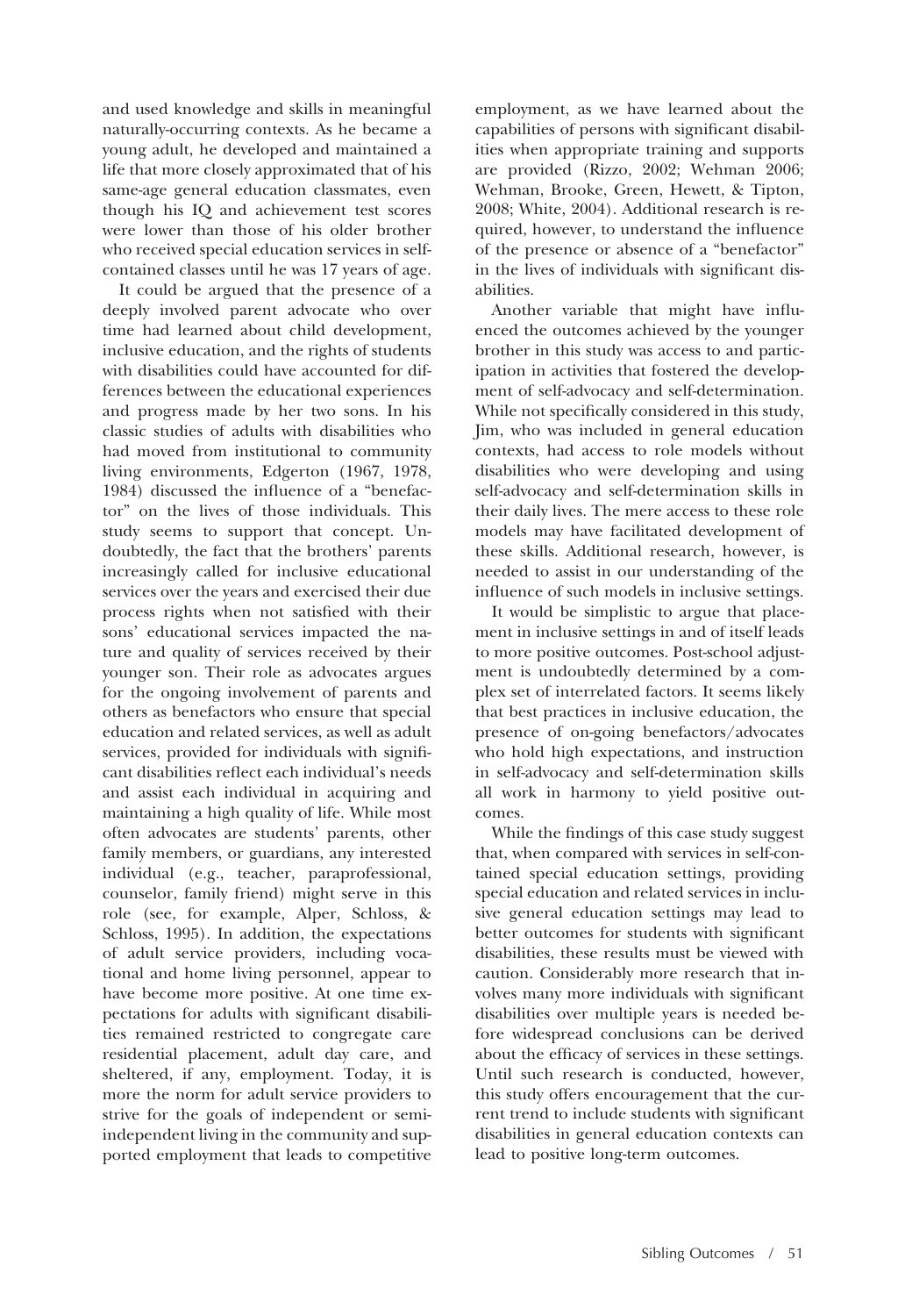and used knowledge and skills in meaningful naturally-occurring contexts. As he became a young adult, he developed and maintained a life that more closely approximated that of his same-age general education classmates, even though his IQ and achievement test scores were lower than those of his older brother who received special education services in selfcontained classes until he was 17 years of age.

It could be argued that the presence of a deeply involved parent advocate who over time had learned about child development, inclusive education, and the rights of students with disabilities could have accounted for differences between the educational experiences and progress made by her two sons. In his classic studies of adults with disabilities who had moved from institutional to community living environments, Edgerton (1967, 1978, 1984) discussed the influence of a "benefactor" on the lives of those individuals. This study seems to support that concept. Undoubtedly, the fact that the brothers' parents increasingly called for inclusive educational services over the years and exercised their due process rights when not satisfied with their sons' educational services impacted the nature and quality of services received by their younger son. Their role as advocates argues for the ongoing involvement of parents and others as benefactors who ensure that special education and related services, as well as adult services, provided for individuals with significant disabilities reflect each individual's needs and assist each individual in acquiring and maintaining a high quality of life. While most often advocates are students' parents, other family members, or guardians, any interested individual (e.g., teacher, paraprofessional, counselor, family friend) might serve in this role (see, for example, Alper, Schloss, & Schloss, 1995). In addition, the expectations of adult service providers, including vocational and home living personnel, appear to have become more positive. At one time expectations for adults with significant disabilities remained restricted to congregate care residential placement, adult day care, and sheltered, if any, employment. Today, it is more the norm for adult service providers to strive for the goals of independent or semiindependent living in the community and supported employment that leads to competitive

employment, as we have learned about the capabilities of persons with significant disabilities when appropriate training and supports are provided (Rizzo, 2002; Wehman 2006; Wehman, Brooke, Green, Hewett, & Tipton, 2008; White, 2004). Additional research is required, however, to understand the influence of the presence or absence of a "benefactor" in the lives of individuals with significant disabilities.

Another variable that might have influenced the outcomes achieved by the younger brother in this study was access to and participation in activities that fostered the development of self-advocacy and self-determination. While not specifically considered in this study, Jim, who was included in general education contexts, had access to role models without disabilities who were developing and using self-advocacy and self-determination skills in their daily lives. The mere access to these role models may have facilitated development of these skills. Additional research, however, is needed to assist in our understanding of the influence of such models in inclusive settings.

It would be simplistic to argue that placement in inclusive settings in and of itself leads to more positive outcomes. Post-school adjustment is undoubtedly determined by a complex set of interrelated factors. It seems likely that best practices in inclusive education, the presence of on-going benefactors/advocates who hold high expectations, and instruction in self-advocacy and self-determination skills all work in harmony to yield positive outcomes.

While the findings of this case study suggest that, when compared with services in self-contained special education settings, providing special education and related services in inclusive general education settings may lead to better outcomes for students with significant disabilities, these results must be viewed with caution. Considerably more research that involves many more individuals with significant disabilities over multiple years is needed before widespread conclusions can be derived about the efficacy of services in these settings. Until such research is conducted, however, this study offers encouragement that the current trend to include students with significant disabilities in general education contexts can lead to positive long-term outcomes.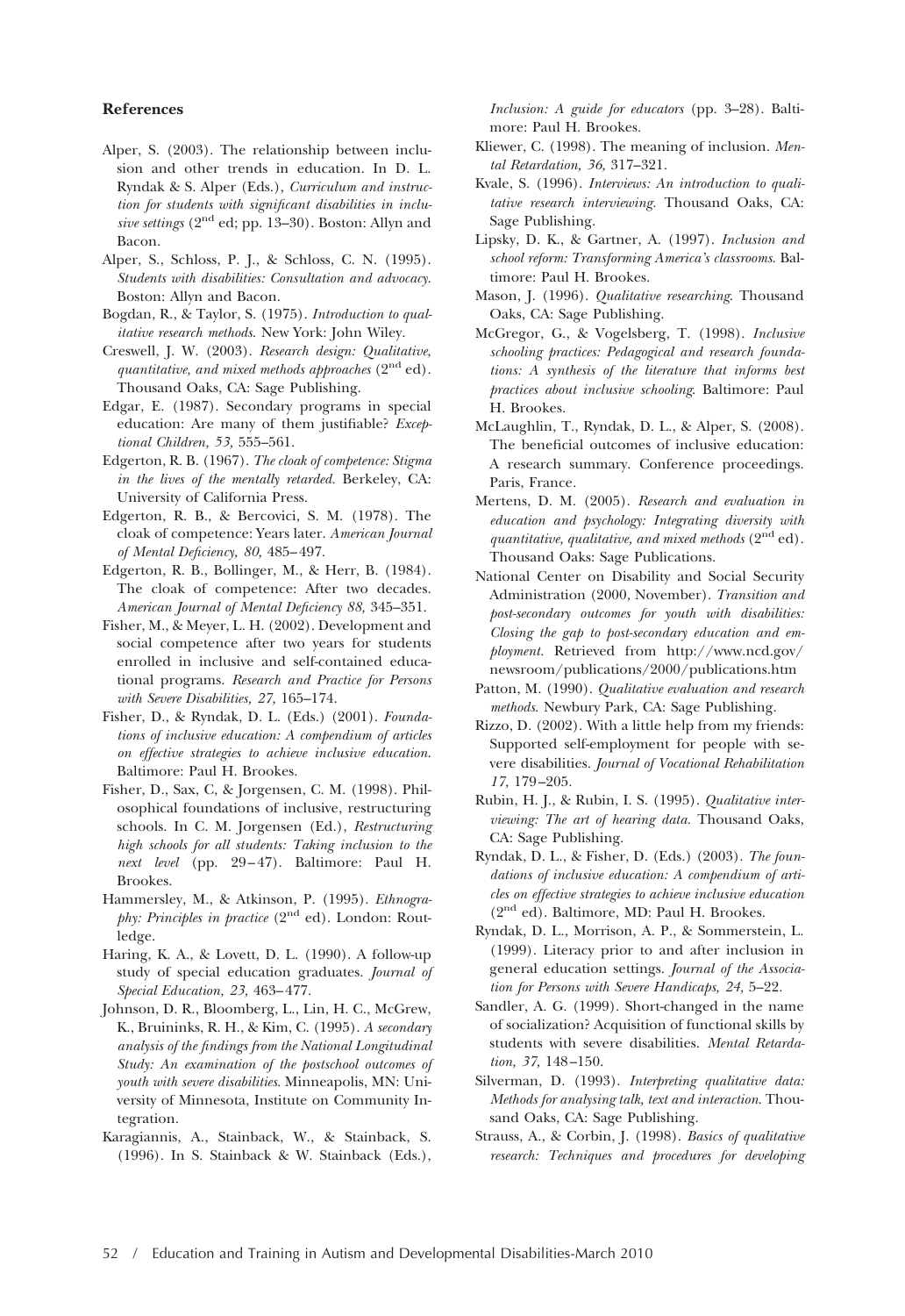#### **References**

- Alper, S. (2003). The relationship between inclusion and other trends in education. In D. L. Ryndak & S. Alper (Eds.), *Curriculum and instruction for students with significant disabilities in inclusive settings* (2nd ed; pp. 13–30). Boston: Allyn and Bacon.
- Alper, S., Schloss, P. J., & Schloss, C. N. (1995). *Students with disabilities: Consultation and advocacy*. Boston: Allyn and Bacon.
- Bogdan, R., & Taylor, S. (1975). *Introduction to qualitative research methods*. New York: John Wiley.
- Creswell, J. W. (2003). *Research design: Qualitative, quantitative, and mixed methods approaches* (2nd ed). Thousand Oaks, CA: Sage Publishing.
- Edgar, E. (1987). Secondary programs in special education: Are many of them justifiable? *Exceptional Children, 53,* 555–561.
- Edgerton, R. B. (1967). *The cloak of competence: Stigma in the lives of the mentally retarded.* Berkeley, CA: University of California Press.
- Edgerton, R. B., & Bercovici, S. M. (1978). The cloak of competence: Years later. *American Journal of Mental Deficiency, 80,* 485– 497.
- Edgerton, R. B., Bollinger, M., & Herr, B. (1984). The cloak of competence: After two decades. *American Journal of Mental Deficiency 88,* 345–351.
- Fisher, M., & Meyer, L. H. (2002). Development and social competence after two years for students enrolled in inclusive and self-contained educational programs. *Research and Practice for Persons with Severe Disabilities, 27,* 165–174.
- Fisher, D., & Ryndak, D. L. (Eds.) (2001). *Foundations of inclusive education: A compendium of articles on effective strategies to achieve inclusive education*. Baltimore: Paul H. Brookes.
- Fisher, D., Sax, C, & Jorgensen, C. M. (1998). Philosophical foundations of inclusive, restructuring schools. In C. M. Jorgensen (Ed.), *Restructuring high schools for all students: Taking inclusion to the next level* (pp. 29 – 47). Baltimore: Paul H. Brookes.
- Hammersley, M., & Atkinson, P. (1995). *Ethnography: Principles in practice* (2<sup>nd</sup> ed). London: Routledge.
- Haring, K. A., & Lovett, D. L. (1990). A follow-up study of special education graduates. *Journal of Special Education, 23,* 463– 477.
- Johnson, D. R., Bloomberg, L., Lin, H. C., McGrew, K., Bruininks, R. H., & Kim, C. (1995). *A secondary analysis of the findings from the National Longitudinal Study: An examination of the postschool outcomes of youth with severe disabilities*. Minneapolis, MN: University of Minnesota, Institute on Community Integration.
- Karagiannis, A., Stainback, W., & Stainback, S. (1996). In S. Stainback & W. Stainback (Eds.),

*Inclusion: A guide for educators* (pp. 3–28). Baltimore: Paul H. Brookes.

- Kliewer, C. (1998). The meaning of inclusion. *Mental Retardation, 36,* 317–321.
- Kvale, S. (1996). *Interviews: An introduction to qualitative research interviewing.* Thousand Oaks, CA: Sage Publishing.
- Lipsky, D. K., & Gartner, A. (1997). *Inclusion and school reform: Transforming America's classrooms*. Baltimore: Paul H. Brookes.
- Mason, J. (1996). *Qualitative researching*. Thousand Oaks, CA: Sage Publishing.
- McGregor, G., & Vogelsberg, T. (1998). *Inclusive schooling practices: Pedagogical and research foundations: A synthesis of the literature that informs best practices about inclusive schooling*. Baltimore: Paul H. Brookes.
- McLaughlin, T., Ryndak, D. L., & Alper, S. (2008). The beneficial outcomes of inclusive education: A research summary. Conference proceedings. Paris, France.
- Mertens, D. M. (2005). *Research and evaluation in education and psychology: Integrating diversity with quantitative, qualitative, and mixed methods* (2<sup>nd</sup> ed). Thousand Oaks: Sage Publications.
- National Center on Disability and Social Security Administration (2000, November). *Transition and post-secondary outcomes for youth with disabilities: Closing the gap to post-secondary education and employment.* Retrieved from http://www.ncd.gov/ newsroom/publications/2000/publications.htm
- Patton, M. (1990). *Qualitative evaluation and research methods*. Newbury Park, CA: Sage Publishing.
- Rizzo, D. (2002). With a little help from my friends: Supported self-employment for people with severe disabilities. *Journal of Vocational Rehabilitation 17,* 179 –205.
- Rubin, H. J., & Rubin, I. S. (1995). *Qualitative interviewing: The art of hearing data.* Thousand Oaks, CA: Sage Publishing.
- Ryndak, D. L., & Fisher, D. (Eds.) (2003). *The foundations of inclusive education: A compendium of articles on effective strategies to achieve inclusive education* (2nd ed). Baltimore, MD: Paul H. Brookes.
- Ryndak, D. L., Morrison, A. P., & Sommerstein, L. (1999). Literacy prior to and after inclusion in general education settings. *Journal of the Association for Persons with Severe Handicaps, 24,* 5–22.
- Sandler, A. G. (1999). Short-changed in the name of socialization? Acquisition of functional skills by students with severe disabilities. *Mental Retardation, 37,* 148 –150.
- Silverman, D. (1993). *Interpreting qualitative data: Methods for analysing talk, text and interaction*. Thousand Oaks, CA: Sage Publishing.
- Strauss, A., & Corbin, J. (1998). *Basics of qualitative research: Techniques and procedures for developing*